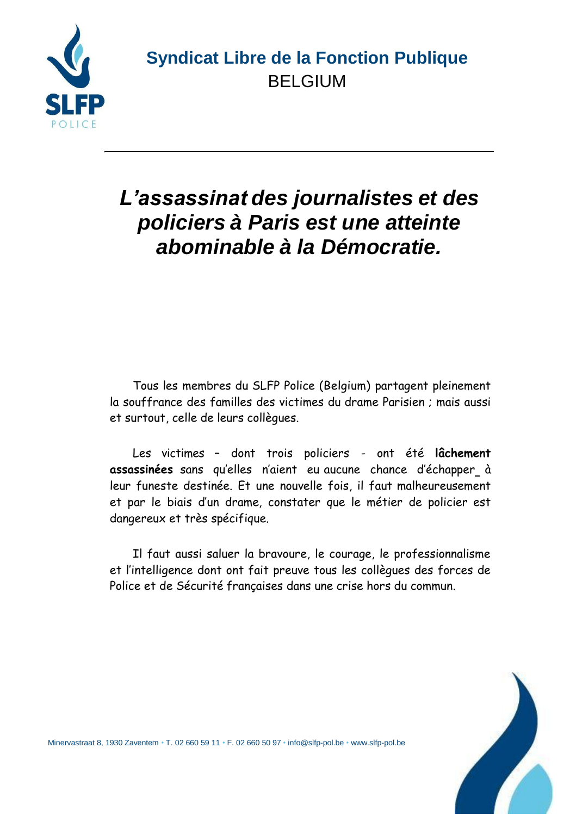

### **Syndicat Libre de la Fonction Publique** BELGIUM

# *L'assassinat des journalistes et des policiers à Paris est une atteinte abominable à la Démocratie.*

Tous les membres du SLFP Police (Belgium) partagent pleinement la souffrance des familles des victimes du drame Parisien ; mais aussi et surtout, celle de leurs collègues.

Les victimes – dont trois policiers - ont été **lâchement assassinées** sans qu'elles n'aient eu aucune chance d'échapper à leur funeste destinée. Et une nouvelle fois, il faut malheureusement et par le biais d'un drame, constater que le métier de policier est dangereux et très spécifique.

Il faut aussi saluer la bravoure, le courage, le professionnalisme et l'intelligence dont ont fait preuve tous les collègues des forces de Police et de Sécurité françaises dans une crise hors du commun.



Minervastraat 8, 1930 Zaventem • T. 02 660 59 11 • F. 02 660 50 97 • [info@slfp-pol.be](mailto:info@slfp-pol.be) [• www.slfp-pol.be](http://www.slfp-pol.be/)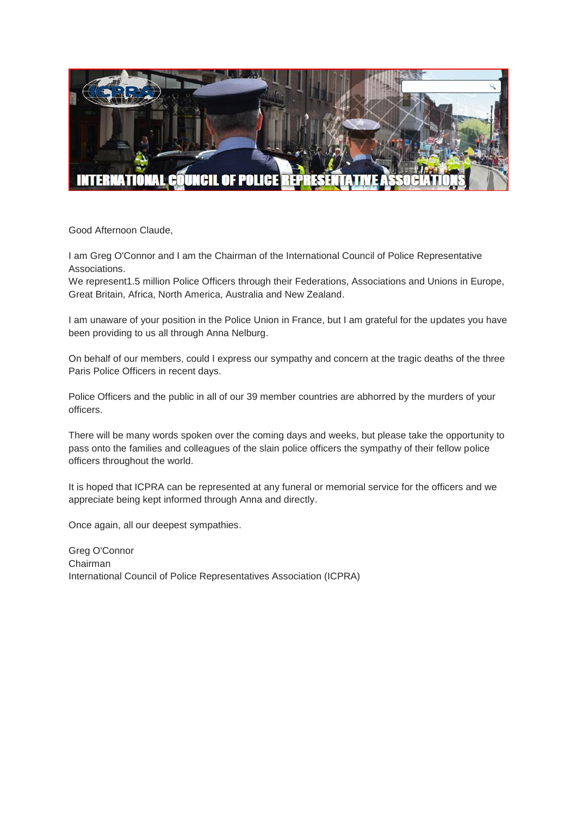

Good Afternoon Claude,

I am Greg O'Connor and I am the Chairman of the International Council of Police Representative Associations.

We represent1.5 million Police Officers through their Federations, Associations and Unions in Europe, Great Britain, Africa, North America, Australia and New Zealand.

I am unaware of your position in the Police Union in France, but I am grateful for the updates you have been providing to us all through Anna Nelburg.

On behalf of our members, could I express our sympathy and concern at the tragic deaths of the three Paris Police Officers in recent days.

Police Officers and the public in all of our 39 member countries are abhorred by the murders of your officers.

There will be many words spoken over the coming days and weeks, but please take the opportunity to pass onto the families and colleagues of the slain police officers the sympathy of their fellow police officers throughout the world.

It is hoped that ICPRA can be represented at any funeral or memorial service for the officers and we appreciate being kept informed through Anna and directly.

Once again, all our deepest sympathies.

Greg O'Connor Chairman International Council of Police Representatives Association (ICPRA)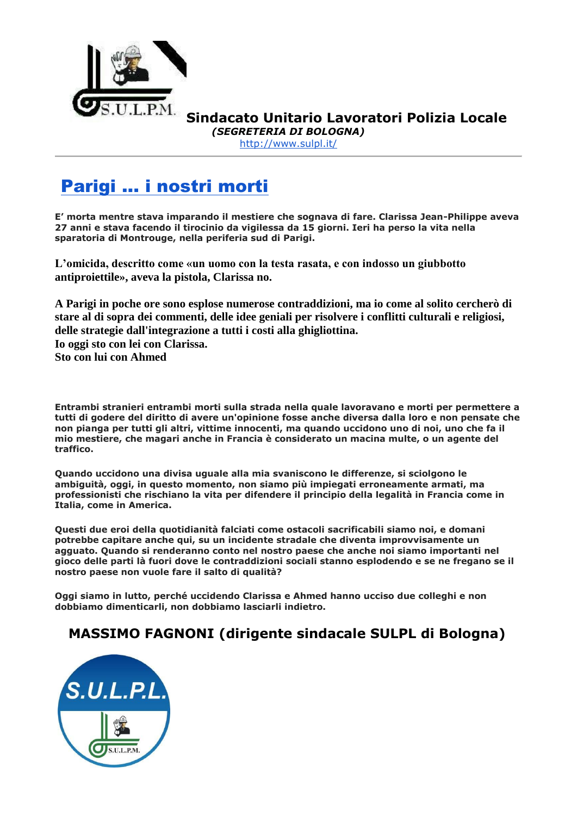

**Sindacato Unitario Lavoratori Polizia Locale** *(SEGRETERIA DI BOLOGNA)*

<http://www.sulpl.it/>

## [Parigi ... i nostri morti](http://www.massimofagnoni.com/2015/01/parigi-i-nostri-morti.html)

**E' morta mentre stava imparando il mestiere che sognava di fare. Clarissa Jean-Philippe aveva 27 anni e stava facendo il tirocinio da vigilessa da 15 giorni. Ieri ha perso la vita nella sparatoria di Montrouge, nella periferia sud di Parigi.**

**L'omicida, descritto come «un uomo con la testa rasata, e con indosso un giubbotto antiproiettile», aveva la pistola, Clarissa no.**

**A Parigi in poche ore sono esplose numerose contraddizioni, ma io come al solito cercherò di stare al di sopra dei commenti, delle idee geniali per risolvere i conflitti culturali e religiosi, delle strategie dall'integrazione a tutti i costi alla ghigliottina. Io oggi sto con lei con Clarissa. Sto con lui con Ahmed**

**Entrambi stranieri entrambi morti sulla strada nella quale lavoravano e morti per permettere a tutti di godere del diritto di avere un'opinione fosse anche diversa dalla loro e non pensate che non pianga per tutti gli altri, vittime innocenti, ma quando uccidono uno di noi, uno che fa il mio mestiere, che magari anche in Francia è considerato un macina multe, o un agente del traffico.**

**Quando uccidono una divisa uguale alla mia svaniscono le differenze, si sciolgono le ambiguità, oggi, in questo momento, non siamo più impiegati erroneamente armati, ma professionisti che rischiano la vita per difendere il principio della legalità in Francia come in Italia, come in America.**

**Questi due eroi della quotidianità falciati come ostacoli sacrificabili siamo noi, e domani potrebbe capitare anche qui, su un incidente stradale che diventa improvvisamente un agguato. Quando si renderanno conto nel nostro paese che anche noi siamo importanti nel gioco delle parti là fuori dove le contraddizioni sociali stanno esplodendo e se ne fregano se il nostro paese non vuole fare il salto di qualità?**

**Oggi siamo in lutto, perché uccidendo Clarissa e Ahmed hanno ucciso due colleghi e non dobbiamo dimenticarli, non dobbiamo lasciarli indietro.**

### **MASSIMO FAGNONI (dirigente sindacale SULPL di Bologna)**

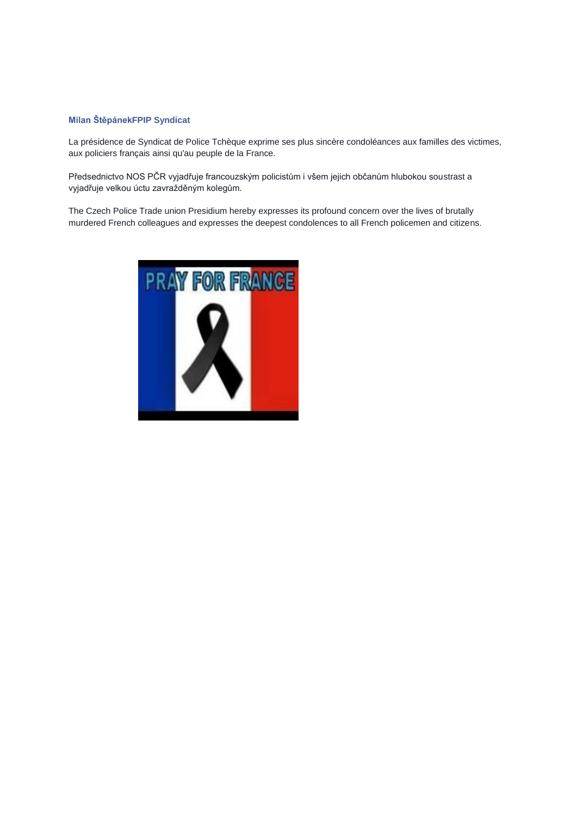#### **[Milan Štěpánek](https://www.facebook.com/milan.stepanek.77?fref=photo)[FPIP Syndicat](https://www.facebook.com/pages/FPIP-Syndicat/170300129744492)**

La présidence de Syndicat de Police Tchèque exprime ses plus sincère condoléances aux familles des victimes, aux policiers français ainsi qu'au peuple de la France.

Předsednictvo NOS PČR vyjadřuje francouzským policistům i všem jejich občanům hlubokou soustrast a vyjadřuje velkou úctu zavražděným kolegům.

The Czech Police Trade union Presidium hereby expresses its profound concern over the lives of brutally murdered French colleagues and expresses the deepest condolences to all French policemen and citizens.

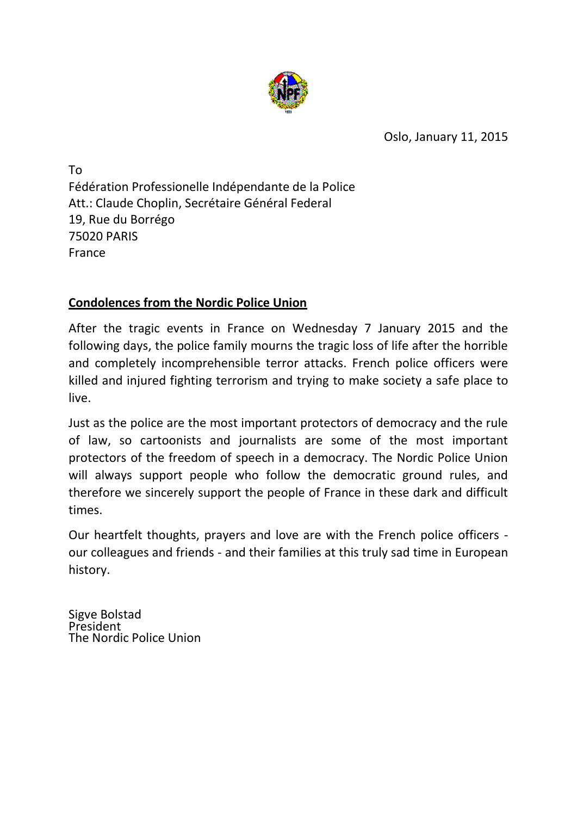

Oslo, January 11, 2015

To Fédération Professionelle Indépendante de la Police Att.: Claude Choplin, Secrétaire Général Federal 19, Rue du Borrégo 75020 PARIS France

### **Condolences from the Nordic Police Union**

After the tragic events in France on Wednesday 7 January 2015 and the following days, the police family mourns the tragic loss of life after the horrible and completely incomprehensible terror attacks. French police officers were killed and injured fighting terrorism and trying to make society a safe place to live.

Just as the police are the most important protectors of democracy and the rule of law, so cartoonists and journalists are some of the most important protectors of the freedom of speech in a democracy. The Nordic Police Union will always support people who follow the democratic ground rules, and therefore we sincerely support the people of France in these dark and difficult times.

Our heartfelt thoughts, prayers and love are with the French police officers our colleagues and friends - and their families at this truly sad time in European history.

Sigve Bolstad President The Nordic Police Union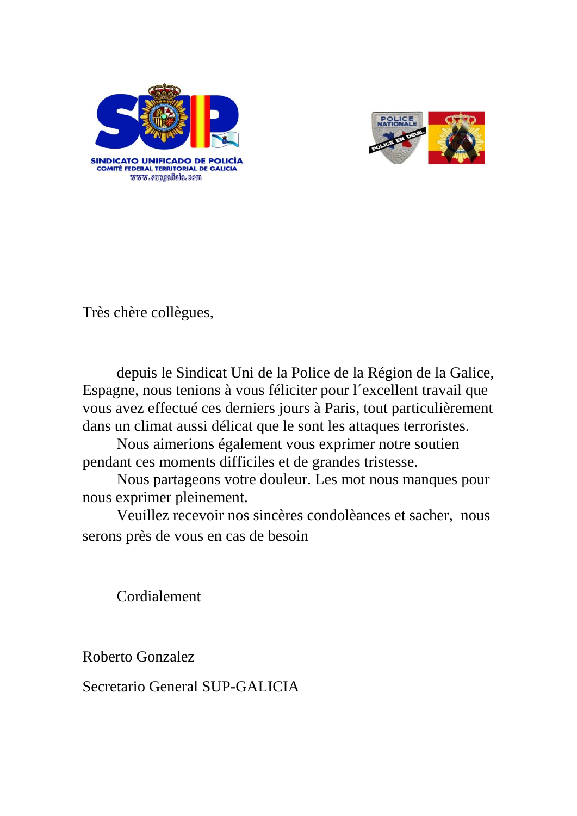



Très chère collègues,

depuis le Sindicat Uni de la Police de la Région de la Galice, Espagne, nous tenions à vous féliciter pour l´excellent travail que vous avez effectué ces derniers jours à Paris, tout particulièrement dans un climat aussi délicat que le sont les attaques terroristes.

Nous aimerions également vous exprimer notre soutien pendant ces moments difficiles et de grandes tristesse.

Nous partageons votre douleur. Les mot nous manques pour nous exprimer pleinement.

Veuillez recevoir nos sincères condolèances et sacher, nous serons près de vous en cas de besoin

Cordialement

Roberto Gonzalez

Secretario General SUP-GALICIA